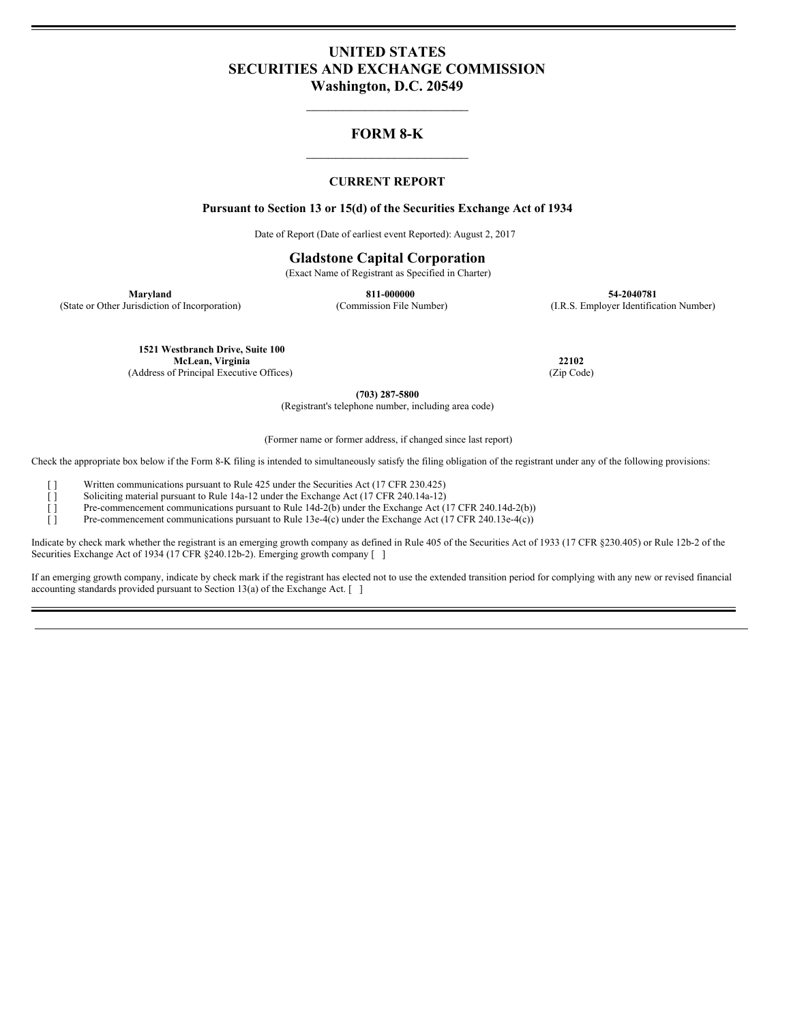# **UNITED STATES SECURITIES AND EXCHANGE COMMISSION Washington, D.C. 20549**

 $\overline{\phantom{a}}$  , where  $\overline{\phantom{a}}$ 

# **FORM 8-K**  $\overline{\phantom{a}}$  , where  $\overline{\phantom{a}}$

## **CURRENT REPORT**

#### **Pursuant to Section 13 or 15(d) of the Securities Exchange Act of 1934**

Date of Report (Date of earliest event Reported): August 2, 2017

#### **Gladstone Capital Corporation**

(Exact Name of Registrant as Specified in Charter)

**Maryland 811-000000 54-2040781** (State or Other Jurisdiction of Incorporation) (Commission File Number) (I.R.S. Employer Identification Number)

> **1521 Westbranch Drive, Suite 100 McLean, Virginia 22102** (Address of Principal Executive Offices)

**(703) 287-5800**

(Registrant's telephone number, including area code)

(Former name or former address, if changed since last report)

Check the appropriate box below if the Form 8-K filing is intended to simultaneously satisfy the filing obligation of the registrant under any of the following provisions:

[ ] Written communications pursuant to Rule 425 under the Securities Act (17 CFR 230.425)

[ ] Soliciting material pursuant to Rule 14a-12 under the Exchange Act (17 CFR 240.14a-12)

[ ] Pre-commencement communications pursuant to Rule 14d-2(b) under the Exchange Act (17 CFR 240.14d-2(b))

[ ] Pre-commencement communications pursuant to Rule 13e-4(c) under the Exchange Act (17 CFR 240.13e-4(c))

Indicate by check mark whether the registrant is an emerging growth company as defined in Rule 405 of the Securities Act of 1933 (17 CFR §230.405) or Rule 12b-2 of the Securities Exchange Act of 1934 (17 CFR §240.12b-2). Emerging growth company [ ]

If an emerging growth company, indicate by check mark if the registrant has elected not to use the extended transition period for complying with any new or revised financial accounting standards provided pursuant to Section 13(a) of the Exchange Act. [ ]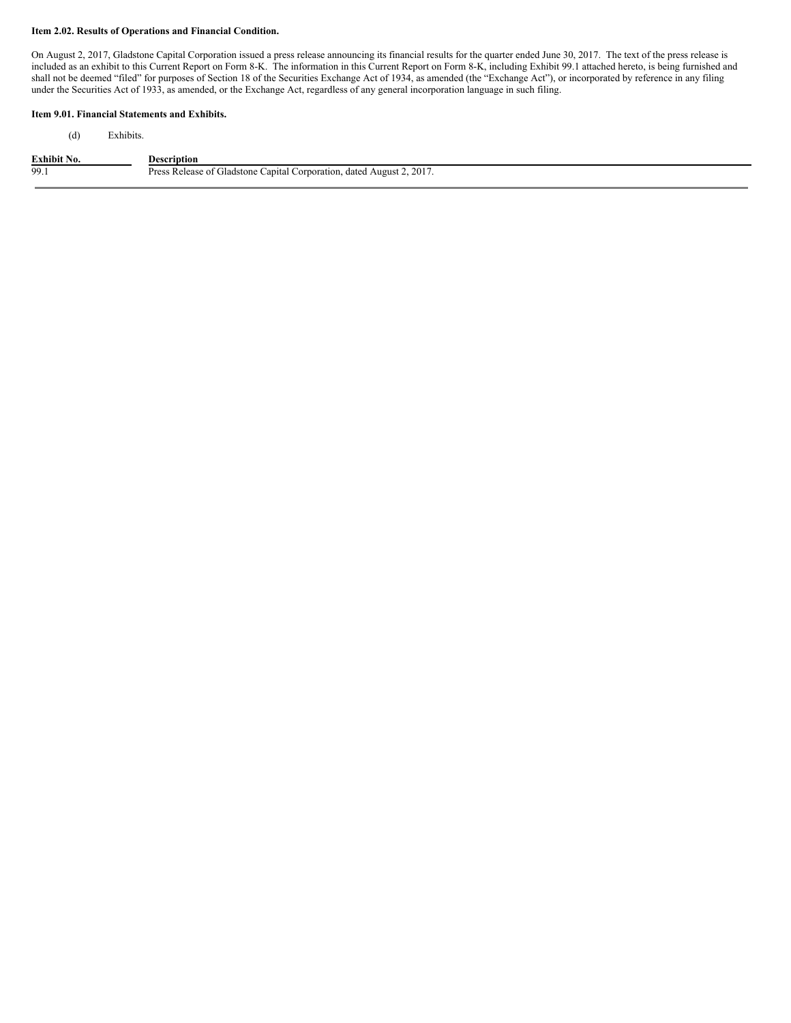#### **Item 2.02. Results of Operations and Financial Condition.**

On August 2, 2017, Gladstone Capital Corporation issued a press release announcing its financial results for the quarter ended June 30, 2017. The text of the press release is included as an exhibit to this Current Report on Form 8-K. The information in this Current Report on Form 8-K, including Exhibit 99.1 attached hereto, is being furnished and shall not be deemed "filed" for purposes of Section 18 of the Securities Exchange Act of 1934, as amended (the "Exchange Act"), or incorporated by reference in any filing under the Securities Act of 1933, as amended, or the Exchange Act, regardless of any general incorporation language in such filing.

### **Item 9.01. Financial Statements and Exhibits.**

(d) Exhibits.

| <b>Exhibit No.</b> | Description                                                           |
|--------------------|-----------------------------------------------------------------------|
| 99.1               | Press Release of Gladstone Capital Corporation, dated August 2, 2017. |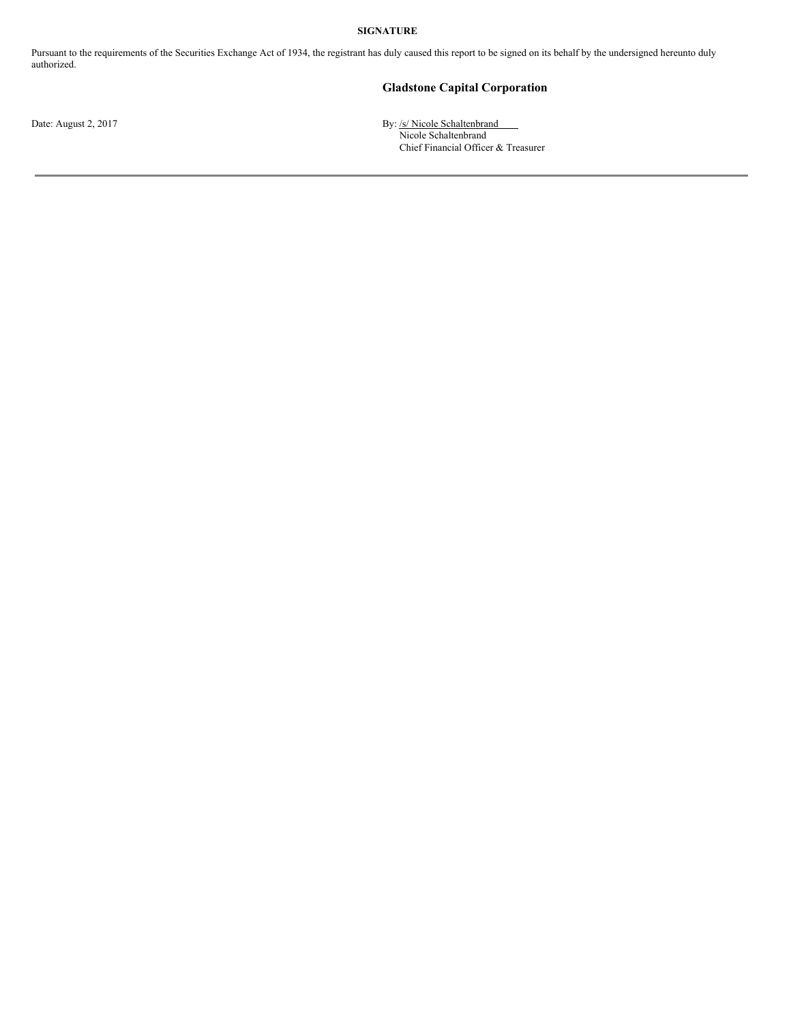#### **SIGNATURE**

Pursuant to the requirements of the Securities Exchange Act of 1934, the registrant has duly caused this report to be signed on its behalf by the undersigned hereunto duly authorized.

## **Gladstone Capital Corporation**

Date: August 2, 2017 **By:** /s/ Nicole Schaltenbrand Nicole Schaltenbrand Chief Financial Officer & Treasurer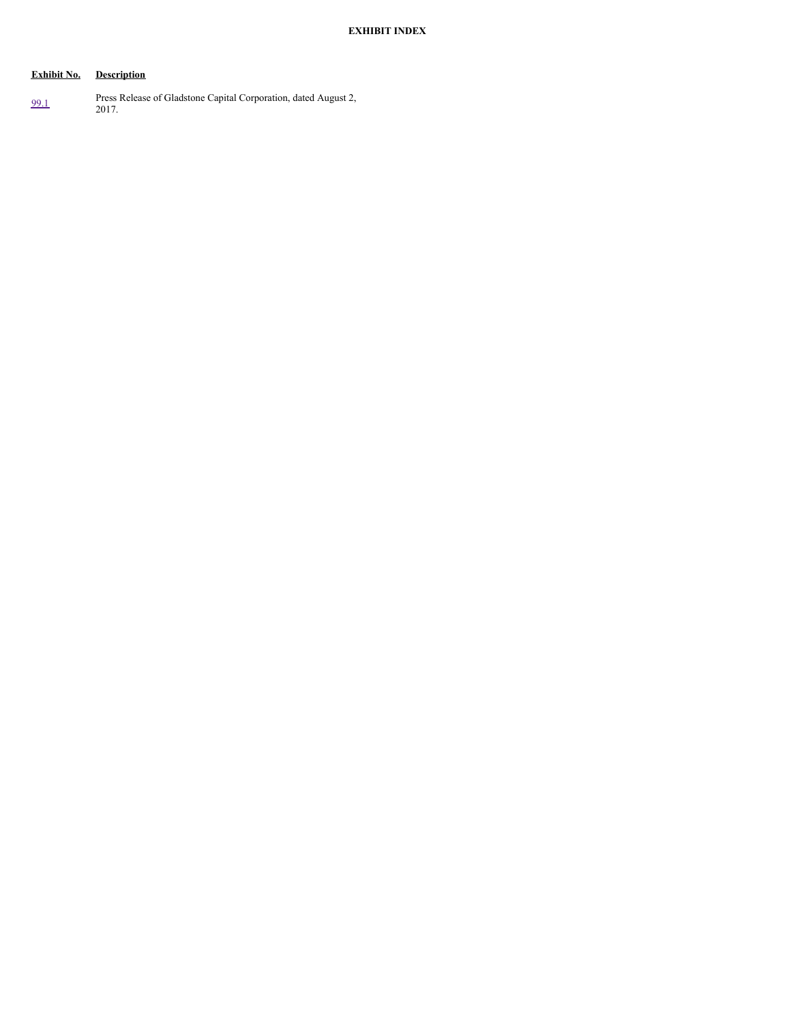# **Exhibit No. Description**

[99.1](#page-4-0) Press Release of Gladstone Capital Corporation, dated August 2, 2017.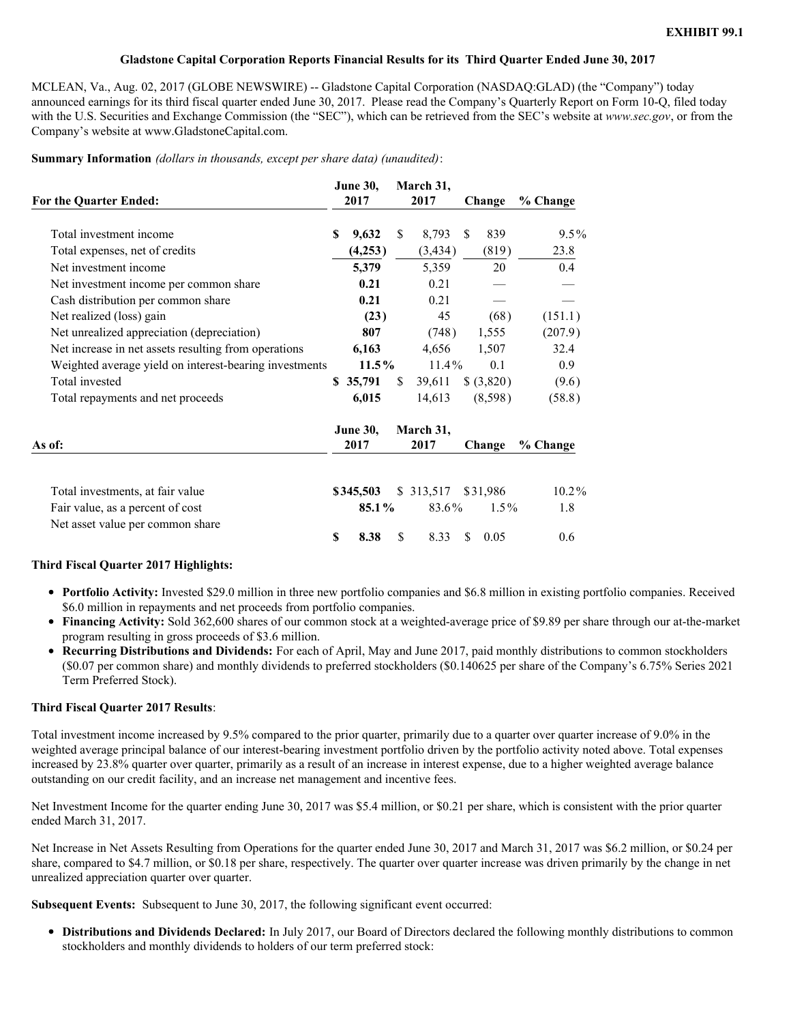### **Gladstone Capital Corporation Reports Financial Results for its Third Quarter Ended June 30, 2017**

<span id="page-4-0"></span>MCLEAN, Va., Aug. 02, 2017 (GLOBE NEWSWIRE) -- Gladstone Capital Corporation (NASDAQ:GLAD) (the "Company") today announced earnings for its third fiscal quarter ended June 30, 2017. Please read the Company's Quarterly Report on Form 10-Q, filed today with the U.S. Securities and Exchange Commission (the "SEC"), which can be retrieved from the SEC's website at *www.sec.gov*, or from the Company's website at www.GladstoneCapital.com.

**Summary Information** *(dollars in thousands, except per share data) (unaudited)*:

| For the Quarter Ended:                                 |    | <b>June 30,</b><br>2017 |    | March 31,<br>2017 |     | Change     | $%$ Change |
|--------------------------------------------------------|----|-------------------------|----|-------------------|-----|------------|------------|
| Total investment income                                | S  | 9,632                   | \$ | 8,793             | \$. | 839        | $9.5\%$    |
| Total expenses, net of credits                         |    | (4,253)                 |    | (3, 434)          |     | (819)      | 23.8       |
| Net investment income                                  |    | 5,379                   |    | 5,359             |     | 20         | 0.4        |
| Net investment income per common share                 |    | 0.21                    |    | 0.21              |     |            |            |
| Cash distribution per common share                     |    | 0.21                    |    | 0.21              |     |            |            |
| Net realized (loss) gain                               |    | (23)                    |    | 45                |     | (68)       | (151.1)    |
| Net unrealized appreciation (depreciation)             |    | 807                     |    | (748)             |     | 1,555      | (207.9)    |
| Net increase in net assets resulting from operations   |    | 6,163                   |    | 4,656             |     | 1,507      | 32.4       |
| Weighted average yield on interest-bearing investments |    | $11.5\%$                |    | $11.4\%$          |     | 0.1        | 0.9        |
| Total invested                                         |    | \$35,791                | \$ | 39,611            |     | \$ (3,820) | (9.6)      |
| Total repayments and net proceeds                      |    | 6,015                   |    | 14,613            |     | (8,598)    | (58.8)     |
|                                                        |    | <b>June 30,</b>         |    | March 31,         |     |            |            |
| As of:                                                 |    | 2017                    |    | 2017              |     | Change     | $%$ Change |
| Total investments, at fair value                       |    | \$345,503               |    | \$ 313,517        |     | \$31,986   | $10.2\%$   |
| Fair value, as a percent of cost                       |    | 85.1%                   |    | 83.6%             |     | $1.5\%$    | 1.8        |
| Net asset value per common share                       |    |                         |    |                   |     |            |            |
|                                                        | \$ | 8.38                    | \$ | 8.33              | S   | 0.05       | 0.6        |

## **Third Fiscal Quarter 2017 Highlights:**

- **Portfolio Activity:** Invested \$29.0 million in three new portfolio companies and \$6.8 million in existing portfolio companies. Received \$6.0 million in repayments and net proceeds from portfolio companies.
- **Financing Activity:** Sold 362,600 shares of our common stock at a weighted-average price of \$9.89 per share through our at-the-market program resulting in gross proceeds of \$3.6 million.
- **Recurring Distributions and Dividends:** For each of April, May and June 2017, paid monthly distributions to common stockholders (\$0.07 per common share) and monthly dividends to preferred stockholders (\$0.140625 per share of the Company's 6.75% Series 2021 Term Preferred Stock).

#### **Third Fiscal Quarter 2017 Results**:

Total investment income increased by 9.5% compared to the prior quarter, primarily due to a quarter over quarter increase of 9.0% in the weighted average principal balance of our interest-bearing investment portfolio driven by the portfolio activity noted above. Total expenses increased by 23.8% quarter over quarter, primarily as a result of an increase in interest expense, due to a higher weighted average balance outstanding on our credit facility, and an increase net management and incentive fees.

Net Investment Income for the quarter ending June 30, 2017 was \$5.4 million, or \$0.21 per share, which is consistent with the prior quarter ended March 31, 2017.

Net Increase in Net Assets Resulting from Operations for the quarter ended June 30, 2017 and March 31, 2017 was \$6.2 million, or \$0.24 per share, compared to \$4.7 million, or \$0.18 per share, respectively. The quarter over quarter increase was driven primarily by the change in net unrealized appreciation quarter over quarter.

**Subsequent Events:** Subsequent to June 30, 2017, the following significant event occurred:

**Distributions and Dividends Declared:** In July 2017, our Board of Directors declared the following monthly distributions to common stockholders and monthly dividends to holders of our term preferred stock: